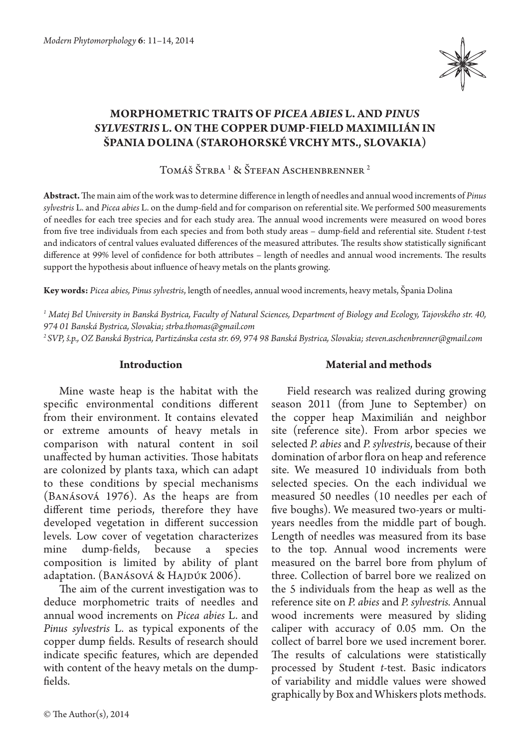

# **MORPHOMETRIC TRAITS OF** *PICEA ABIES* **L. AND** *PINUS SYLVESTRIS* **L. ON THE COPPER DUMP-FIELD MAXIMILIÁN IN ŠPANIA DOLINA (STAROHORSKÉ VRCHY MTS., SLOVAKIA)**

Tomáš Strba <sup>1</sup> & Stefan Aschenbrenner <sup>2</sup>

**Abstract.** The main aim of the work was to determine difference in length of needles and annual wood increments of *Pinus sylvestris* L. and *Picea abies* L. on the dump-field and for comparison on referential site. We performed 500 measurements of needles for each tree species and for each study area. The annual wood increments were measured on wood bores from five tree individuals from each species and from both study areas – dump-field and referential site. Student *t*-test and indicators of central values evaluated differences of the measured attributes. The results show statistically significant difference at 99% level of confidence for both attributes – length of needles and annual wood increments. The results support the hypothesis about influence of heavy metals on the plants growing.

**Key words:** *Picea abies, Pinus sylvestris*, length of needles, annual wood increments, heavy metals, Špania Dolina

*1 Matej Bel University in Banská Bystrica, Faculty of Natural Sciences, Department of Biology and Ecology, Tajovského str. 40, 974 01 Banská Bystrica, Slovakia; strba.thomas@gmail.com*

*2 SVP, š.p., OZ Banská Bystrica, Partizánska cesta str. 69, 974 98 Banská Bystrica, Slovakia; steven.aschenbrenner@gmail.com*

## **Introduction**

Mine waste heap is the habitat with the specific environmental conditions different from their environment. It contains elevated or extreme amounts of heavy metals in comparison with natural content in soil unaffected by human activities. Those habitats are colonized by plants taxa, which can adapt to these conditions by special mechanisms (Banásová 1976). As the heaps are from different time periods, therefore they have developed vegetation in different succession levels. Low cover of vegetation characterizes mine dump-fields, because a species composition is limited by ability of plant adaptation. (BANÁSOVÁ & HAJDÚK 2006).

The aim of the current investigation was to deduce morphometric traits of needles and annual wood increments on *Picea abies* L. and *Pinus sylvestris* L. as typical exponents of the copper dump fields. Results of research should indicate specific features, which are depended with content of the heavy metals on the dumpfields.

# **Material and methods**

Field research was realized during growing season 2011 (from June to September) on the copper heap Maximilián and neighbor site (reference site). From arbor species we selected *P. abies* and *P. sylvestris*, because of their domination of arbor flora on heap and reference site. We measured 10 individuals from both selected species. On the each individual we measured 50 needles (10 needles per each of five boughs). We measured two-years or multiyears needles from the middle part of bough. Length of needles was measured from its base to the top. Annual wood increments were measured on the barrel bore from phylum of three. Collection of barrel bore we realized on the 5 individuals from the heap as well as the reference site on *P. abies* and *P. sylvestris.* Annual wood increments were measured by sliding caliper with accuracy of 0.05 mm. On the collect of barrel bore we used increment borer. The results of calculations were statistically processed by Student *t*-test. Basic indicators of variability and middle values were showed graphically by Box and Whiskers plots methods.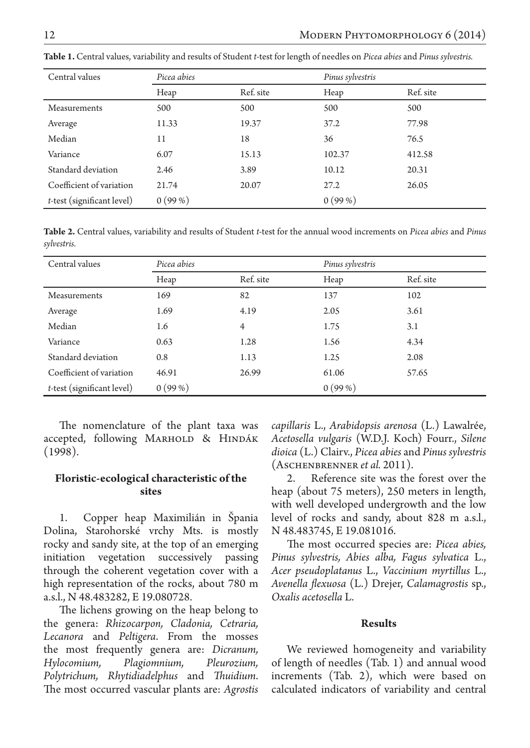| Central values                | Picea abies |           | Pinus sylvestris |           |
|-------------------------------|-------------|-----------|------------------|-----------|
|                               | Heap        | Ref. site | Heap             | Ref. site |
| Measurements                  | 500         | 500       | 500              | 500       |
| Average                       | 11.33       | 19.37     | 37.2             | 77.98     |
| Median                        | 11          | 18        | 36               | 76.5      |
| Variance                      | 6.07        | 15.13     | 102.37           | 412.58    |
| Standard deviation            | 2.46        | 3.89      | 10.12            | 20.31     |
| Coefficient of variation      | 21.74       | 20.07     | 27.2             | 26.05     |
| $t$ -test (significant level) | 0(99%)      |           | 0(99%)           |           |

**Table 1.** Central values, variability and results of Student *t*-test for length of needles on *Picea abies* and *Pinus sylvestris.*

**Table 2.** Central values, variability and results of Student *t-*test for the annual wood increments on *Picea abies* and *Pinus sylvestris.*

| Central values             | Picea abies |                | Pinus sylvestris |           |
|----------------------------|-------------|----------------|------------------|-----------|
|                            | Heap        | Ref. site      | Heap             | Ref. site |
| Measurements               | 169         | 82             | 137              | 102       |
| Average                    | 1.69        | 4.19           | 2.05             | 3.61      |
| Median                     | 1.6         | $\overline{4}$ | 1.75             | 3.1       |
| Variance                   | 0.63        | 1.28           | 1.56             | 4.34      |
| Standard deviation         | 0.8         | 1.13           | 1.25             | 2.08      |
| Coefficient of variation   | 46.91       | 26.99          | 61.06            | 57.65     |
| t-test (significant level) | 0(99%)      |                | 0(99%)           |           |

The nomenclature of the plant taxa was accepted, following MARHOLD & HINDÁK (1998).

# **Floristic-ecological characteristic of the sites**

1. Copper heap Maximilián in Špania Dolina, Starohorské vrchy Mts. is mostly rocky and sandy site, at the top of an emerging initiation vegetation successively passing through the coherent vegetation cover with a high representation of the rocks, about 780 m a.s.l., N 48.483282, E 19.080728.

The lichens growing on the heap belong to the genera: *Rhizocarpon, Cladonia, Cetraria, Lecanora* and *Peltigera*. From the mosses the most frequently genera are: *Dicranum, Hylocomium, Plagiomnium, Pleurozium, Polytrichum, Rhytidiadelphus* and *Thuidium*. The most occurred vascular plants are: *Agrostis*  *capillaris* L., *Arabidopsis arenosa* (L.) Lawalrée, *Acetosella vulgaris* (W.D.J. Koch) Fourr., *Silene dioica* (L.) Clairv., *Picea abies* and *Pinus sylvestris* (Aschenbrenner *et al.* 2011).

2. Reference site was the forest over the heap (about 75 meters), 250 meters in length, with well developed undergrowth and the low level of rocks and sandy, about 828 m a.s.l., N 48.483745, E 19.081016.

The most occurred species are: *Picea abies, Pinus sylvestris, Abies alba, Fagus sylvatica* L., *Acer pseudoplatanus* L., *Vaccinium myrtillus* L., *Avenella flexuosa* (L.) Drejer, *Calamagrostis* sp., *Oxalis acetosella* L.

#### **Results**

We reviewed homogeneity and variability of length of needles (Tab. 1) and annual wood increments (Tab. 2), which were based on calculated indicators of variability and central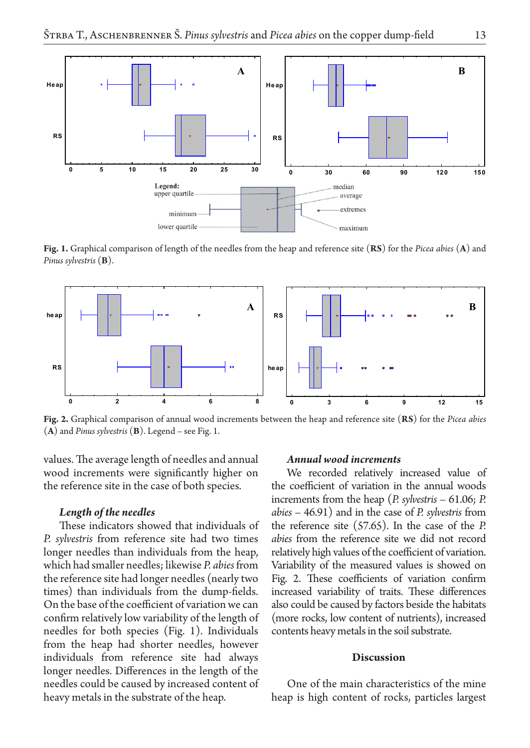

**Fig. 1.** Graphical comparison of length of the needles from the heap and reference site (**RS**) for the *Picea abies* (**A**) and *Pinus sylvestris* (**B**).



**Fig. 2.** Graphical comparison of annual wood increments between the heap and reference site (**RS**) for the *Picea abies*  (**A**) and *Pinus sylvestris* (**B**). Legend – see Fig. 1.

values. The average length of needles and annual wood increments were significantly higher on the reference site in the case of both species.

## *Length of the needles*

These indicators showed that individuals of *P. sylvestris* from reference site had two times longer needles than individuals from the heap, which had smaller needles; likewise *P. abies* from the reference site had longer needles (nearly two times) than individuals from the dump-fields. On the base of the coefficient of variation we can confirm relatively low variability of the length of needles for both species (Fig. 1). Individuals from the heap had shorter needles, however individuals from reference site had always longer needles. Differences in the length of the needles could be caused by increased content of heavy metals in the substrate of the heap.

#### *Annual wood increments*

We recorded relatively increased value of the coefficient of variation in the annual woods increments from the heap (*P. sylvestris* – 61.06; *P. abies* – 46.91) and in the case of *P. sylvestris* from the reference site (57.65). In the case of the *P. abies* from the reference site we did not record relatively high values of the coefficient of variation. Variability of the measured values is showed on Fig. 2. These coefficients of variation confirm increased variability of traits. These differences also could be caused by factors beside the habitats (more rocks, low content of nutrients), increased contents heavy metals in the soil substrate.

#### **Discussion**

One of the main characteristics of the mine heap is high content of rocks, particles largest